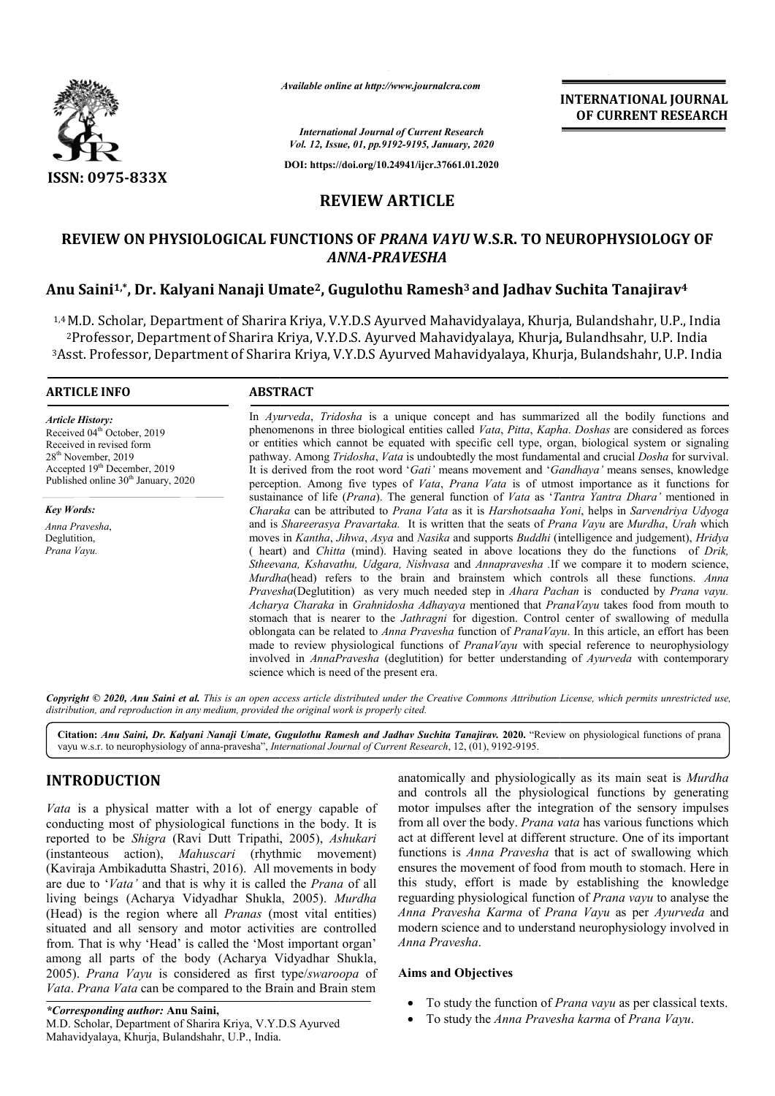

*Available online at http://www.journalcra.com*

**INTERNATIONAL JOURNAL OF CURRENT RESEARCH**

*International Journal of Current Research Vol. 12, Issue, 01, pp.9192-9195, January, 2020*

**DOI: https://doi.org/10.24941/ijcr.37661.01.2020**

## **REVIEW ARTICLE**

# **REVIEW ON PHYSIOLOGICAL FUNCTIONS OF**  *PRANA VAYU* **W.S.R. TO NEUROPHYSIOLOGY OF**  REVIEW ON PHYSIOLOGICAL FUNCTIONS OF *PRANA VAYU* W.S.R. TO NEUROPHYSIOLOGY<br>*ANNA-PRAVESHA*<br>Anu Saini<sup>1,\*</sup>, Dr. Kalyani Nanaji Umate<sup>2</sup>, Gugulothu Ramesh<sup>3</sup> and Jadhav Suchita Tanajirav<sup>4</sup> *ANNA-PRAVESHA*

1,4 M.D. Scholar, Department of Sharira Kriya, V.Y.D.S Ayurved Mahavidyalaya, Khurja, Bulandshahr, U.P., India M.D. Scholar, Department of Sharira Kriya, V.Y.D.S Ayurved Mahavidyalaya, Khurja, Bulandshahr, U.P., Inc<br>2Professor, Department of Sharira Kriya, V.Y.D.S. Ayurved Mahavidyalaya, Khurja, Bulandhsahr, U.P. India <sup>2</sup>Professor, Department of Sharira Kriya, V.Y.D.S. Ayurved Mahavidyalaya, Khurja, Bulandhsahr, U.P. India وAsst. Professor, Department of Sharira Kriya, V.Y.D.S Ayurved Mahavidyalaya, Khurja, Bulandshahr, U.P. India

#### **ARTICLE INFO ABSTRACT**

*Article History:* Received 04<sup>th</sup> October, 2019 Received in revised form 28th November, 2019 Accepted 19<sup>th</sup> December, 2019 Published online 30<sup>th</sup> January, 2020

*Key Words: Anna Pravesha*, Deglutition, *Prana Vayu.*

In *Ayurveda* , *Tridosha* is a unique concept and has summarized all the bodily functions and In *Ayurveda*, *Tridosha* is a unique concept and has summarized all the bodily functions and phenomenons in three biological entities called *Vata*, *Pitta*, *Kapha*. Doshas are considered as forces or entities which cannot be equated with specific cell type, organ, biological system or signaling or entities which cannot be equated with specific cell type, organ, biological system or signaling pathway. Among *Tridosha*, *Vata* is undoubtedly the most fundamental and crucial *Dosha* for survival. It is derived from the root word '*Gati'* means movement and '*Gandhaya'* means senses, knowledge perception. Among five types of *Vata*, *Prana Vata* is of utmost importance as it functions for sustainance of life ( *Prana*). The general function of *Vata* as '*Tantra Tantra Yantra Dhara'* mentioned in *Charaka* can be attributed to *Prana Vata* as it is *Harshotsaaha Yoni Yoni*, helps in *Sarvendriya Udyoga* and is Shareerasya Pravartaka. It is written that the seats of Prana Vayu are Murdha, Urah which moves in *Kantha*, *Jihwa*, *Asya* and *Nasika* and supports *Buddhi* (intelligence and judgement), *Hridya* ( heart) and *Chitta* (mind). Having seated in above locations they do the functions of *Drik*, *Stheevana, Kshavathu, Udgara, Nishvasa*  and *Annapravesha .*If we compare it to modern science, Stheevana, Kshavathu, Udgara, Nishvasa and Annapravesha .If we compare it to modern science, Murdha(head) refers to the brain and brainstem which controls all these functions. Anna *Pravesha*(Deglutition) as very much needed step in *Ahara Pachan* is conducted by *Prana vayu.* Acharya Charaka in Grahnidosha Adhayaya mentioned that *PranaVayu* takes food from mouth to stomach that is nearer to the *Jathragni* for digestion. Control center of swallowing of medulla stomach that is nearer to the *Jathragni* for digestion. Control center of swallowing of medulla<br>oblongata can be related to *Anna Pravesha* function of *PranaVayu*. In this article, an effort has been made to review physiological functions of *PranaVayu* with special reference to neurophysiology involved in *AnnaPravesha* (deglutition) for better understanding of *Ayurveda* with contemporary science which is need of the present era.

Copyright © 2020, Anu Saini et al. This is an open access article distributed under the Creative Commons Attribution License, which permits unrestricted use, *distribution, and reproduction in any medium, provided the original work is properly cited.*

Citation: Anu Saini, Dr. Kalyani Nanaji Umate, Gugulothu Ramesh and Jadhav Suchita Tanajirav. 2020. "Review on physiological functions of prana vayu w.s.r. to neurophysiology of anna-pravesha", *International Journal of Current Research* , 12, (01), 9192-9195.

## **INTRODUCTION**

*Vata* is a physical matter with a lot of energy capable of conducting most of physiological functions in the body. It is reported to be *Shigra* (Ravi Dutt Tripathi, 2005 , 2005), *Ashukari* (instanteous action), *Mahuscari* (rhythmic movement) (Kaviraja Ambikadutta Shastri, 2016). All movements in body . are due to '*Vata'* and that is why it is called the *Prana* of all living beings (Acharya Vidyadhar Shukla, 2005). *Murdha* (Head) is the region where all *Pranas* (most vital entities) situated and all sensory and motor activities are controlled from. That is why 'Head' is called the 'Most important organ' among all parts of the body (Acharya Vidyadhar Shukla, 2005). *Prana Vayu* is considered as first type/ *swaroopa* of *Vata*. *Prana Vata* can be compared to the Brain and Brain stem

*\*Corresponding author:* **Anu Saini,** M.D. Scholar, Department of Sharira Kriya, V.Y.D.S Ayurved Mahavidyalaya, Khurja, Bulandshahr, U.P., India.

anatomically and physiologically as its main seat is<br>
and controls all the physiological functions by ge<br>
in the body. It is moror impulses after the integration of the sensory<br>
i, 2005), Ashukari act at different level a and controls all the physiological functions by generating motor impulses after the integration of the sensory impulses from all over the body. *Prana vata*  act at different level at different structure. One of its important functions is *Anna Pravesha* that is act of swallowing which ensures the movement of food from mouth to stomach. Here in this study, effort is made by establishing the knowledge reguarding physiological function of Prana vayu to analyse the *Anna Pravesha Karma* of *Prana Vayu* as per *Ayurveda* and modern science and to understand neurophysiology involved in *Anna Pravesha*. anatomically and physiologically as its main seat is *Murdha* and controls all the physiological functions by generating motor impulses after the integration of the sensory impulses from all over the body. *Prana vata* has various functions which different level at different structure. One of its important<br>ons is *Anna Pravesha* that is act of swallowing which<br>s the movement of food from mouth to stomach. Here in<br>tudy, effort is made by establishing the knowledge<br>d

#### **Aims and Objectives**

- To study the function of *Prana vayu* as per classical texts.
- To study the *Anna Pravesha karma* of *Prana Vayu*.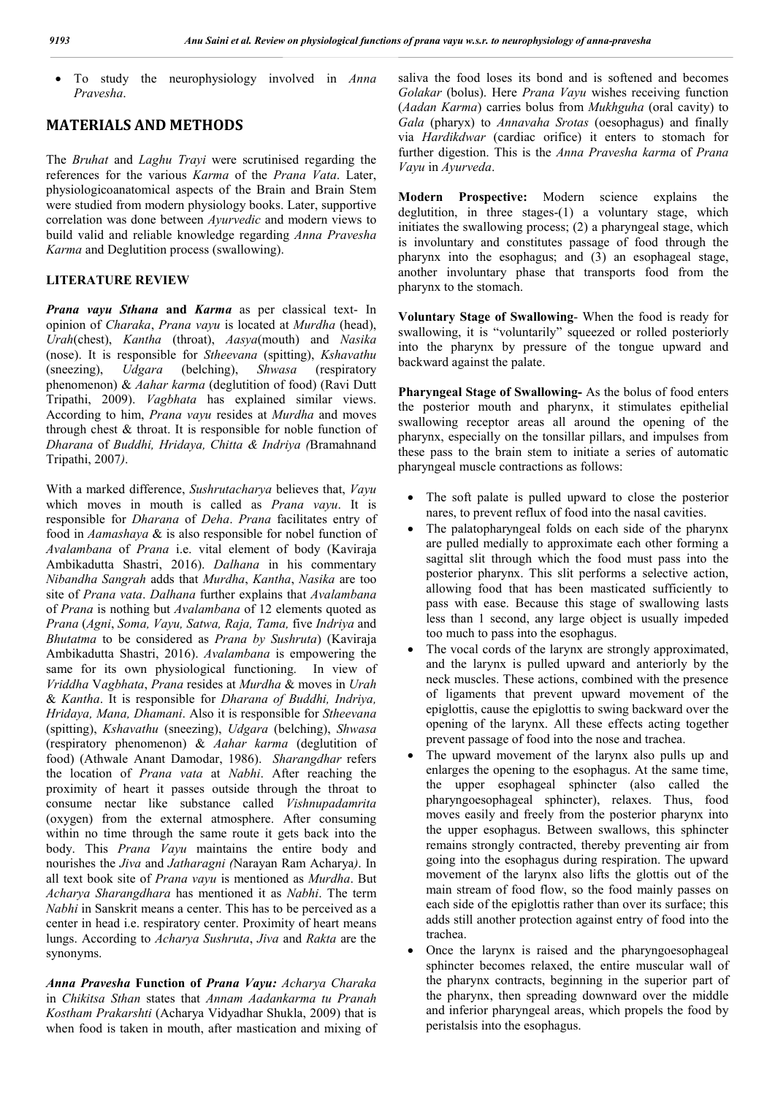To study the neurophysiology involved in *Anna Pravesha*.

## **MATERIALS AND METHODS**

The *Bruhat* and *Laghu Trayi* were scrutinised regarding the references for the various *Karma* of the *Prana Vata*. Later, physiologicoanatomical aspects of the Brain and Brain Stem were studied from modern physiology books. Later, supportive correlation was done between *Ayurvedic* and modern views to build valid and reliable knowledge regarding *Anna Pravesha Karma* and Deglutition process (swallowing).

## **LITERATURE REVIEW**

*Prana vayu Sthana* **and** *Karma* as per classical text- In opinion of *Charaka*, *Prana vayu* is located at *Murdha* (head), *Urah*(chest), *Kantha* (throat), *Aasya*(mouth) and *Nasika* (nose). It is responsible for *Stheevana* (spitting), *Kshavathu* (sneezing), *Udgara* (belching), *Shwasa* (respiratory phenomenon) & *Aahar karma* (deglutition of food) (Ravi Dutt Tripathi, 2009). *Vagbhata* has explained similar views. According to him, *Prana vayu* resides at *Murdha* and moves through chest & throat. It is responsible for noble function of *Dharana* of *Buddhi, Hridaya, Chitta & Indriya (*Bramahnand Tripathi, 2007*)*.

With a marked difference, *Sushrutacharya* believes that, *Vayu* which moves in mouth is called as *Prana vayu*. It is responsible for *Dharana* of *Deha*. *Prana* facilitates entry of food in *Aamashaya* & is also responsible for nobel function of *Avalambana* of *Prana* i.e. vital element of body (Kaviraja Ambikadutta Shastri, 2016). *Dalhana* in his commentary *Nibandha Sangrah* adds that *Murdha*, *Kantha*, *Nasika* are too site of *Prana vata*. *Dalhana* further explains that *Avalambana* of *Prana* is nothing but *Avalambana* of 12 elements quoted as *Prana* (*Agni*, *Soma, Vayu, Satwa, Raja, Tama,* five *Indriya* and *Bhutatma* to be considered as *Prana by Sushruta*) (Kaviraja Ambikadutta Shastri, 2016). *Avalambana* is empowering the same for its own physiological functioning. In view of *Vriddha* V*agbhata*, *Prana* resides at *Murdha* & moves in *Urah* & *Kantha*. It is responsible for *Dharana of Buddhi, Indriya, Hridaya, Mana, Dhamani*. Also it is responsible for *Stheevana* (spitting), *Kshavathu* (sneezing), *Udgara* (belching), *Shwasa* (respiratory phenomenon) & *Aahar karma* (deglutition of food) (Athwale Anant Damodar, 1986). *Sharangdhar* refers the location of *Prana vata* at *Nabhi*. After reaching the proximity of heart it passes outside through the throat to consume nectar like substance called *Vishnupadamrita* (oxygen) from the external atmosphere. After consuming within no time through the same route it gets back into the body. This *Prana Vayu* maintains the entire body and nourishes the *Jiva* and *Jatharagni (*Narayan Ram Acharya*)*. In all text book site of *Prana vayu* is mentioned as *Murdha*. But *Acharya Sharangdhara* has mentioned it as *Nabhi*. The term *Nabhi* in Sanskrit means a center. This has to be perceived as a center in head i.e. respiratory center. Proximity of heart means lungs. According to *Acharya Sushruta*, *Jiva* and *Rakta* are the synonyms.

*Anna Pravesha* **Function of** *Prana Vayu: Acharya Charaka* in *Chikitsa Sthan* states that *Annam Aadankarma tu Pranah Kostham Prakarshti* (Acharya Vidyadhar Shukla, 2009) that is when food is taken in mouth, after mastication and mixing of saliva the food loses its bond and is softened and becomes *Golakar* (bolus). Here *Prana Vayu* wishes receiving function (*Aadan Karma*) carries bolus from *Mukhguha* (oral cavity) to *Gala* (pharyx) to *Annavaha Srotas* (oesophagus) and finally via *Hardikdwar* (cardiac orifice) it enters to stomach for further digestion. This is the *Anna Pravesha karma* of *Prana Vayu* in *Ayurveda*.

**Modern Prospective:** Modern science explains the deglutition, in three stages-(1) a voluntary stage, which initiates the swallowing process; (2) a pharyngeal stage, which is involuntary and constitutes passage of food through the pharynx into the esophagus; and (3) an esophageal stage, another involuntary phase that transports food from the pharynx to the stomach.

**Voluntary Stage of Swallowing**- When the food is ready for swallowing, it is "voluntarily" squeezed or rolled posteriorly into the pharynx by pressure of the tongue upward and backward against the palate.

**Pharyngeal Stage of Swallowing-** As the bolus of food enters the posterior mouth and pharynx, it stimulates epithelial swallowing receptor areas all around the opening of the pharynx, especially on the tonsillar pillars, and impulses from these pass to the brain stem to initiate a series of automatic pharyngeal muscle contractions as follows:

- The soft palate is pulled upward to close the posterior nares, to prevent reflux of food into the nasal cavities.
- The palatopharyngeal folds on each side of the pharynx are pulled medially to approximate each other forming a sagittal slit through which the food must pass into the posterior pharynx. This slit performs a selective action, allowing food that has been masticated sufficiently to pass with ease. Because this stage of swallowing lasts less than 1 second, any large object is usually impeded too much to pass into the esophagus.
- The vocal cords of the larynx are strongly approximated, and the larynx is pulled upward and anteriorly by the neck muscles. These actions, combined with the presence of ligaments that prevent upward movement of the epiglottis, cause the epiglottis to swing backward over the opening of the larynx. All these effects acting together prevent passage of food into the nose and trachea.
- The upward movement of the larynx also pulls up and enlarges the opening to the esophagus. At the same time, the upper esophageal sphincter (also called the pharyngoesophageal sphincter), relaxes. Thus, food moves easily and freely from the posterior pharynx into the upper esophagus. Between swallows, this sphincter remains strongly contracted, thereby preventing air from going into the esophagus during respiration. The upward movement of the larynx also lifts the glottis out of the main stream of food flow, so the food mainly passes on each side of the epiglottis rather than over its surface; this adds still another protection against entry of food into the trachea.
- Once the larynx is raised and the pharyngoesophageal sphincter becomes relaxed, the entire muscular wall of the pharynx contracts, beginning in the superior part of the pharynx, then spreading downward over the middle and inferior pharyngeal areas, which propels the food by peristalsis into the esophagus.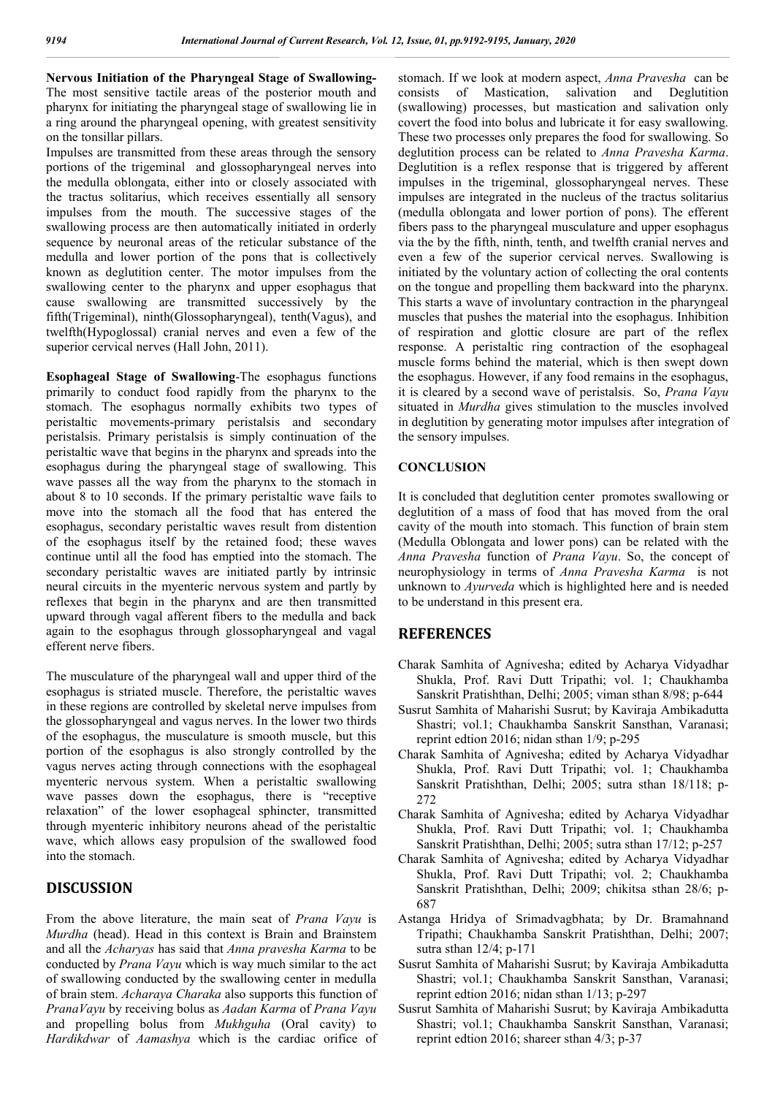**Nervous Initiation of the Pharyngeal Stage of Swallowing-**The most sensitive tactile areas of the posterior mouth and pharynx for initiating the pharyngeal stage of swallowing lie in a ring around the pharyngeal opening, with greatest sensitivity on the tonsillar pillars.

Impulses are transmitted from these areas through the sensory portions of the trigeminal and glossopharyngeal nerves into the medulla oblongata, either into or closely associated with the tractus solitarius, which receives essentially all sensory impulses from the mouth. The successive stages of the swallowing process are then automatically initiated in orderly sequence by neuronal areas of the reticular substance of the medulla and lower portion of the pons that is collectively known as deglutition center. The motor impulses from the swallowing center to the pharynx and upper esophagus that cause swallowing are transmitted successively by the fifth(Trigeminal), ninth(Glossopharyngeal), tenth(Vagus), and twelfth(Hypoglossal) cranial nerves and even a few of the superior cervical nerves (Hall John, 2011).

**Esophageal Stage of Swallowing**-The esophagus functions primarily to conduct food rapidly from the pharynx to the stomach. The esophagus normally exhibits two types of peristaltic movements-primary peristalsis and secondary peristalsis. Primary peristalsis is simply continuation of the peristaltic wave that begins in the pharynx and spreads into the esophagus during the pharyngeal stage of swallowing. This wave passes all the way from the pharynx to the stomach in about 8 to 10 seconds. If the primary peristaltic wave fails to move into the stomach all the food that has entered the esophagus, secondary peristaltic waves result from distention of the esophagus itself by the retained food; these waves continue until all the food has emptied into the stomach. The secondary peristaltic waves are initiated partly by intrinsic neural circuits in the myenteric nervous system and partly by reflexes that begin in the pharynx and are then transmitted upward through vagal afferent fibers to the medulla and back again to the esophagus through glossopharyngeal and vagal efferent nerve fibers.

The musculature of the pharyngeal wall and upper third of the esophagus is striated muscle. Therefore, the peristaltic waves in these regions are controlled by skeletal nerve impulses from the glossopharyngeal and vagus nerves. In the lower two thirds of the esophagus, the musculature is smooth muscle, but this portion of the esophagus is also strongly controlled by the vagus nerves acting through connections with the esophageal myenteric nervous system. When a peristaltic swallowing wave passes down the esophagus, there is "receptive relaxation" of the lower esophageal sphincter, transmitted through myenteric inhibitory neurons ahead of the peristaltic wave, which allows easy propulsion of the swallowed food into the stomach.

### **DISCUSSION**

From the above literature, the main seat of *Prana Vayu* is *Murdha* (head). Head in this context is Brain and Brainstem and all the *Acharyas* has said that *Anna pravesha Karma* to be conducted by *Prana Vayu* which is way much similar to the act of swallowing conducted by the swallowing center in medulla of brain stem. *Acharaya Charaka* also supports this function of *PranaVayu* by receiving bolus as *Aadan Karma* of *Prana Vayu* and propelling bolus from *Mukhguha* (Oral cavity) to *Hardikdwar* of *Aamashya* which is the cardiac orifice of stomach. If we look at modern aspect, *Anna Pravesha* can be consists of Mastication, salivation and Deglutition (swallowing) processes, but mastication and salivation only covert the food into bolus and lubricate it for easy swallowing. These two processes only prepares the food for swallowing. So deglutition process can be related to *Anna Pravesha Karma*. Deglutition is a reflex response that is triggered by afferent impulses in the trigeminal, glossopharyngeal nerves. These impulses are integrated in the nucleus of the tractus solitarius (medulla oblongata and lower portion of pons). The efferent fibers pass to the pharyngeal musculature and upper esophagus via the by the fifth, ninth, tenth, and twelfth cranial nerves and even a few of the superior cervical nerves. Swallowing is initiated by the voluntary action of collecting the oral contents on the tongue and propelling them backward into the pharynx. This starts a wave of involuntary contraction in the pharyngeal muscles that pushes the material into the esophagus. Inhibition of respiration and glottic closure are part of the reflex response. A peristaltic ring contraction of the esophageal muscle forms behind the material, which is then swept down the esophagus. However, if any food remains in the esophagus, it is cleared by a second wave of peristalsis. So, *Prana Vayu* situated in *Murdha* gives stimulation to the muscles involved in deglutition by generating motor impulses after integration of the sensory impulses.

#### **CONCLUSION**

It is concluded that deglutition center promotes swallowing or deglutition of a mass of food that has moved from the oral cavity of the mouth into stomach. This function of brain stem (Medulla Oblongata and lower pons) can be related with the *Anna Pravesha* function of *Prana Vayu*. So, the concept of neurophysiology in terms of *Anna Pravesha Karma* is not unknown to *Ayurveda* which is highlighted here and is needed to be understand in this present era.

### **REFERENCES**

- Charak Samhita of Agnivesha; edited by Acharya Vidyadhar Shukla, Prof. Ravi Dutt Tripathi; vol. 1; Chaukhamba Sanskrit Pratishthan, Delhi; 2005; viman sthan 8/98; p-644
- Susrut Samhita of Maharishi Susrut; by Kaviraja Ambikadutta Shastri; vol.1; Chaukhamba Sanskrit Sansthan, Varanasi; reprint edtion 2016; nidan sthan 1/9; p-295
- Charak Samhita of Agnivesha; edited by Acharya Vidyadhar Shukla, Prof. Ravi Dutt Tripathi; vol. 1; Chaukhamba Sanskrit Pratishthan, Delhi; 2005; sutra sthan 18/118; p-272
- Charak Samhita of Agnivesha; edited by Acharya Vidyadhar Shukla, Prof. Ravi Dutt Tripathi; vol. 1; Chaukhamba Sanskrit Pratishthan, Delhi; 2005; sutra sthan 17/12; p-257
- Charak Samhita of Agnivesha; edited by Acharya Vidyadhar Shukla, Prof. Ravi Dutt Tripathi; vol. 2; Chaukhamba Sanskrit Pratishthan, Delhi; 2009; chikitsa sthan 28/6; p-687
- Astanga Hridya of Srimadvagbhata; by Dr. Bramahnand Tripathi; Chaukhamba Sanskrit Pratishthan, Delhi; 2007; sutra sthan 12/4; p-171
- Susrut Samhita of Maharishi Susrut; by Kaviraja Ambikadutta Shastri; vol.1; Chaukhamba Sanskrit Sansthan, Varanasi; reprint edtion 2016; nidan sthan 1/13; p-297
- Susrut Samhita of Maharishi Susrut; by Kaviraja Ambikadutta Shastri; vol.1; Chaukhamba Sanskrit Sansthan, Varanasi; reprint edtion 2016; shareer sthan 4/3; p-37